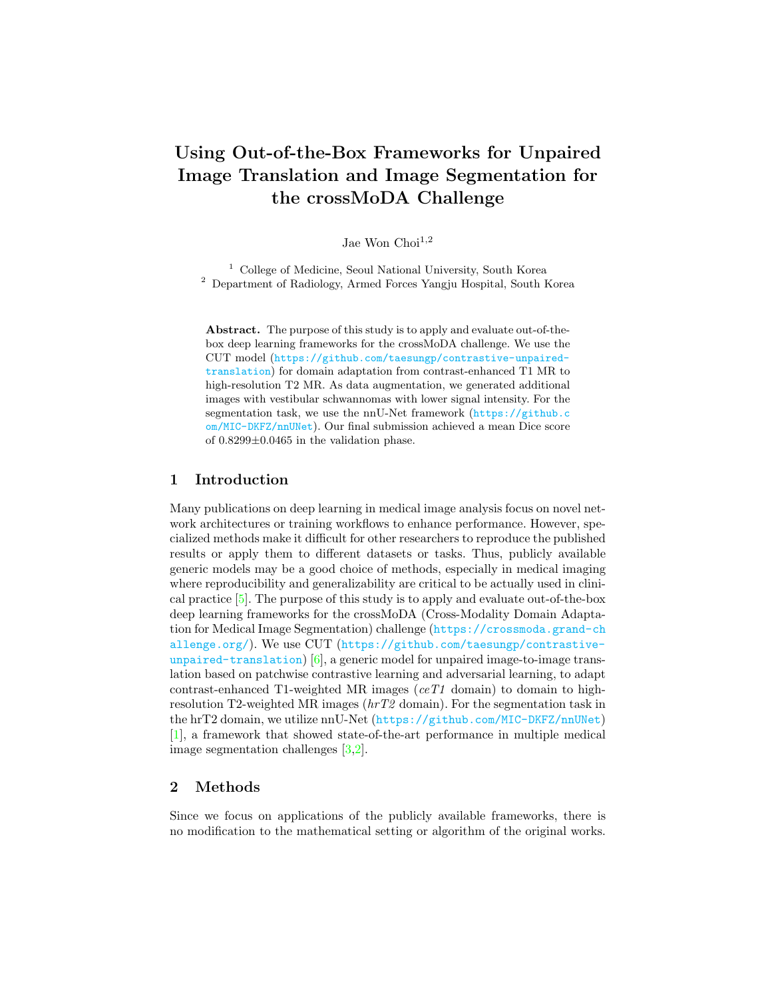# Using Out-of-the-Box Frameworks for Unpaired Image Translation and Image Segmentation for the crossMoDA Challenge

Jae Won $Choi^{1,2}$ 

<sup>1</sup> College of Medicine, Seoul National University, South Korea <sup>2</sup> Department of Radiology, Armed Forces Yangju Hospital, South Korea

Abstract. The purpose of this study is to apply and evaluate out-of-thebox deep learning frameworks for the crossMoDA challenge. We use the CUT model ([https://github.com/taesungp/contrastive-unpaired](https://github.com/taesungp/contrastive-unpaired-translation)[translation](https://github.com/taesungp/contrastive-unpaired-translation)) for domain adaptation from contrast-enhanced T1 MR to high-resolution T2 MR. As data augmentation, we generated additional images with vestibular schwannomas with lower signal intensity. For the segmentation task, we use the nnU-Net framework ([https://github.c](https://github.com/MIC-DKFZ/nnUNet) [om/MIC-DKFZ/nnUNet](https://github.com/MIC-DKFZ/nnUNet)). Our final submission achieved a mean Dice score of 0.8299±0.0465 in the validation phase.

# 1 Introduction

Many publications on deep learning in medical image analysis focus on novel network architectures or training workflows to enhance performance. However, specialized methods make it difficult for other researchers to reproduce the published results or apply them to different datasets or tasks. Thus, publicly available generic models may be a good choice of methods, especially in medical imaging where reproducibility and generalizability are critical to be actually used in clinical practice [\[5\]](#page-3-0). The purpose of this study is to apply and evaluate out-of-the-box deep learning frameworks for the crossMoDA (Cross-Modality Domain Adaptation for Medical Image Segmentation) challenge ([https://crossmoda.grand-ch](https://crossmoda.grand-challenge.org/) [allenge.org/](https://crossmoda.grand-challenge.org/)). We use CUT ([https://github.com/taesungp/contrastive](https://github.com/taesungp/contrastive-unpaired-translation)[unpaired-translation](https://github.com/taesungp/contrastive-unpaired-translation)) [\[6\]](#page-4-0), a generic model for unpaired image-to-image translation based on patchwise contrastive learning and adversarial learning, to adapt contrast-enhanced T1-weighted MR images ( $ceT1$  domain) to domain to highresolution T2-weighted MR images  $(hrT2$  domain). For the segmentation task in the hrT2 domain, we utilize nnU-Net (<https://github.com/MIC-DKFZ/nnUNet>) [\[1\]](#page-3-1), a framework that showed state-of-the-art performance in multiple medical image segmentation challenges [\[3,](#page-3-2)[2\]](#page-3-3).

# 2 Methods

Since we focus on applications of the publicly available frameworks, there is no modification to the mathematical setting or algorithm of the original works.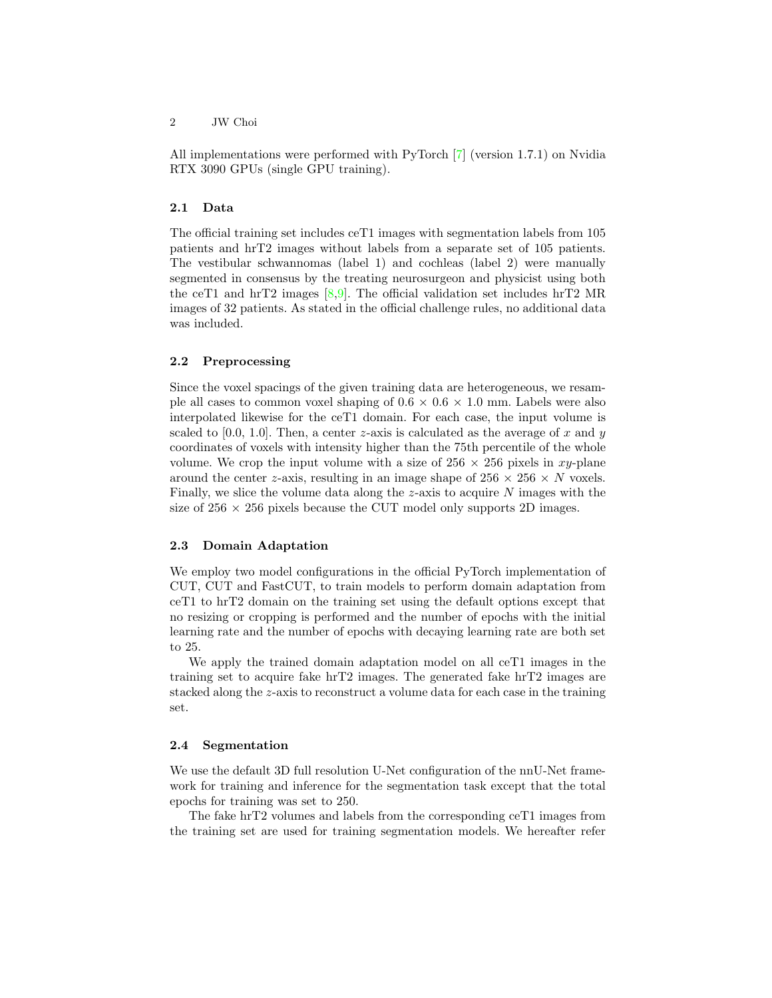All implementations were performed with PyTorch [\[7\]](#page-4-1) (version 1.7.1) on Nvidia RTX 3090 GPUs (single GPU training).

#### 2.1 Data

The official training set includes ceT1 images with segmentation labels from 105 patients and hrT2 images without labels from a separate set of 105 patients. The vestibular schwannomas (label 1) and cochleas (label 2) were manually segmented in consensus by the treating neurosurgeon and physicist using both the ceT1 and hrT2 images  $[8,9]$  $[8,9]$ . The official validation set includes hrT2 MR images of 32 patients. As stated in the official challenge rules, no additional data was included.

#### 2.2 Preprocessing

Since the voxel spacings of the given training data are heterogeneous, we resample all cases to common voxel shaping of  $0.6 \times 0.6 \times 1.0$  mm. Labels were also interpolated likewise for the ceT1 domain. For each case, the input volume is scaled to [0.0, 1.0]. Then, a center z-axis is calculated as the average of x and y coordinates of voxels with intensity higher than the 75th percentile of the whole volume. We crop the input volume with a size of  $256 \times 256$  pixels in xy-plane around the center z-axis, resulting in an image shape of  $256 \times 256 \times N$  voxels. Finally, we slice the volume data along the  $z$ -axis to acquire  $N$  images with the size of  $256 \times 256$  pixels because the CUT model only supports 2D images.

#### 2.3 Domain Adaptation

We employ two model configurations in the official PyTorch implementation of CUT, CUT and FastCUT, to train models to perform domain adaptation from ceT1 to hrT2 domain on the training set using the default options except that no resizing or cropping is performed and the number of epochs with the initial learning rate and the number of epochs with decaying learning rate are both set to 25.

We apply the trained domain adaptation model on all ceT1 images in the training set to acquire fake hrT2 images. The generated fake hrT2 images are stacked along the z-axis to reconstruct a volume data for each case in the training set.

#### 2.4 Segmentation

We use the default 3D full resolution U-Net configuration of the nnU-Net framework for training and inference for the segmentation task except that the total epochs for training was set to 250.

The fake hrT2 volumes and labels from the corresponding ceT1 images from the training set are used for training segmentation models. We hereafter refer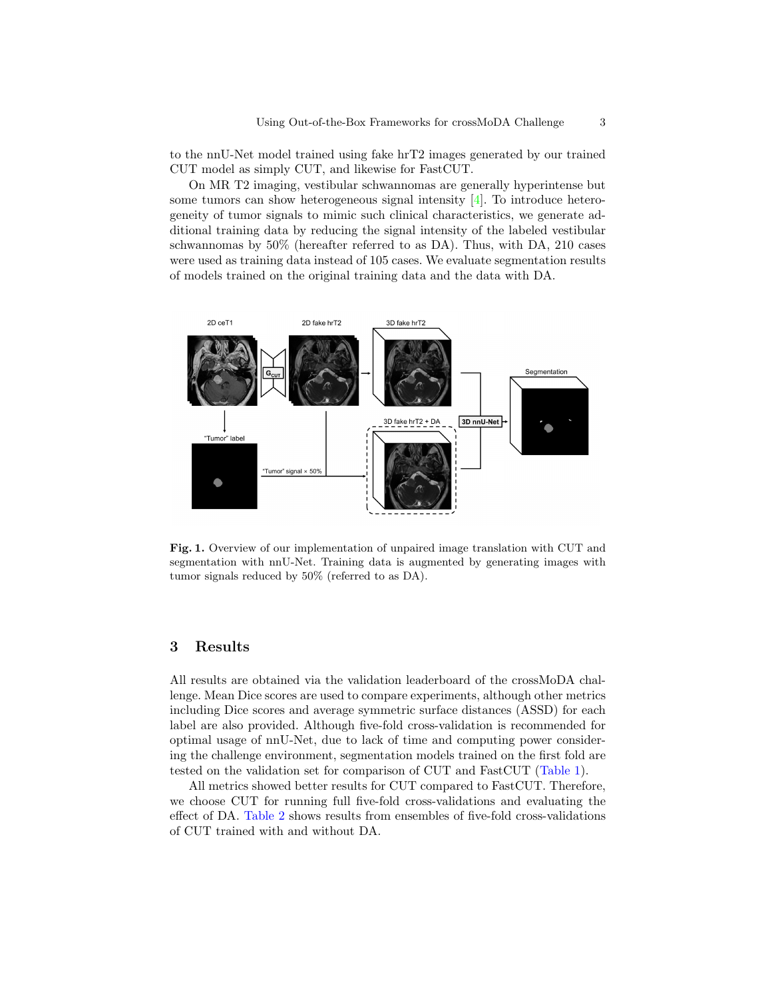to the nnU-Net model trained using fake hrT2 images generated by our trained CUT model as simply CUT, and likewise for FastCUT.

On MR T2 imaging, vestibular schwannomas are generally hyperintense but some tumors can show heterogeneous signal intensity [\[4\]](#page-3-4). To introduce heterogeneity of tumor signals to mimic such clinical characteristics, we generate additional training data by reducing the signal intensity of the labeled vestibular schwannomas by 50% (hereafter referred to as DA). Thus, with DA, 210 cases were used as training data instead of 105 cases. We evaluate segmentation results of models trained on the original training data and the data with DA.



Fig. 1. Overview of our implementation of unpaired image translation with CUT and segmentation with nnU-Net. Training data is augmented by generating images with tumor signals reduced by 50% (referred to as DA).

## 3 Results

All results are obtained via the validation leaderboard of the crossMoDA challenge. Mean Dice scores are used to compare experiments, although other metrics including Dice scores and average symmetric surface distances (ASSD) for each label are also provided. Although five-fold cross-validation is recommended for optimal usage of nnU-Net, due to lack of time and computing power considering the challenge environment, segmentation models trained on the first fold are tested on the validation set for comparison of CUT and FastCUT [\(Table 1\)](#page-3-5).

All metrics showed better results for CUT compared to FastCUT. Therefore, we choose CUT for running full five-fold cross-validations and evaluating the effect of DA. [Table 2](#page-3-6) shows results from ensembles of five-fold cross-validations of CUT trained with and without DA.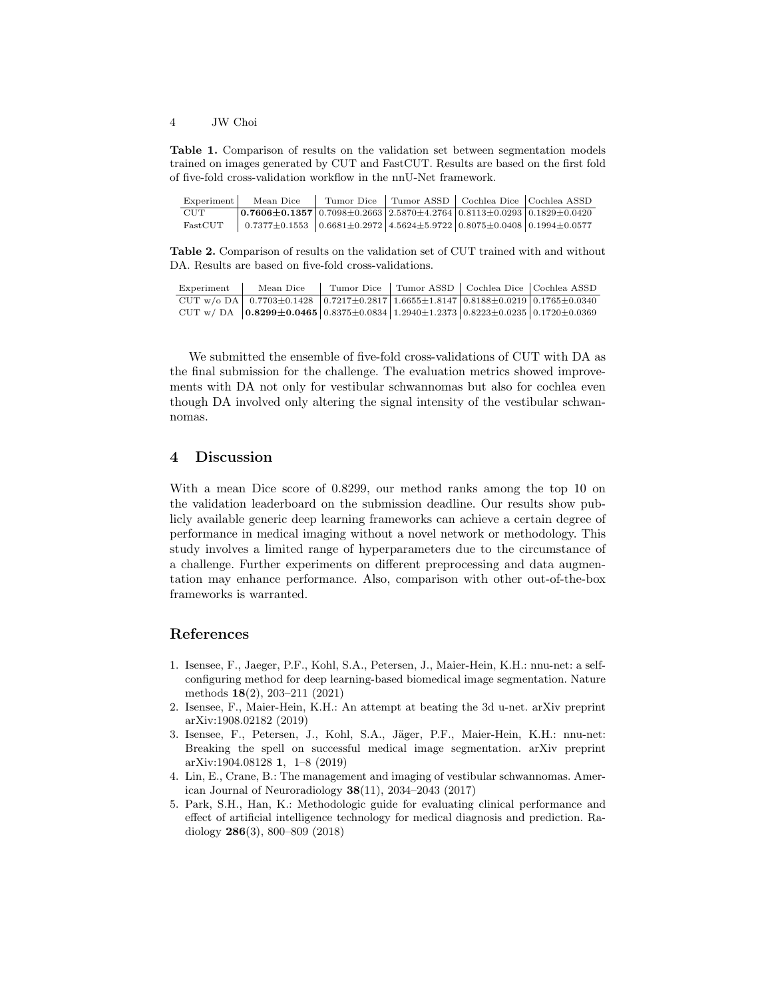4 JW Choi

<span id="page-3-5"></span>Table 1. Comparison of results on the validation set between segmentation models trained on images generated by CUT and FastCUT. Results are based on the first fold of five-fold cross-validation workflow in the nnU-Net framework.

| Experiment | Mean Dice                                                                                                            | Tumor Dice |  | Tumor ASSD   Cochlea Dice   Cochlea ASSD |
|------------|----------------------------------------------------------------------------------------------------------------------|------------|--|------------------------------------------|
| <b>CUT</b> | $\mid 0.7606 \pm 0.1357 \mid 0.7098 \pm 0.2663 \mid 2.5870 \pm 4.2764 \mid 0.8113 \pm 0.0293 \mid 0.1829 \pm 0.0420$ |            |  |                                          |
| FastCUT    | $0.7377\pm0.1553$ $0.6681\pm0.2972$ $4.5624\pm5.9722$ $0.8075\pm0.0408$ $0.1994\pm0.0577$                            |            |  |                                          |

<span id="page-3-6"></span>Table 2. Comparison of results on the validation set of CUT trained with and without DA. Results are based on five-fold cross-validations.

| Experiment | Mean Dice                                                                                                                                            | Tumor Dice |  | Tumor ASSD   Cochlea Dice   Cochlea ASSD |
|------------|------------------------------------------------------------------------------------------------------------------------------------------------------|------------|--|------------------------------------------|
|            | CUT w/o DA   $0.7703 \pm 0.1428$   $0.7217 \pm 0.2817$   $1.6655 \pm 1.8147$   $0.8188 \pm 0.0219$   $0.1765 \pm 0.0340$                             |            |  |                                          |
|            | CUT w/DA $\vert$ 0.8299 $\pm$ 0.0465 $\vert$ 0.8375 $\pm$ 0.0834 $\vert$ 1.2940 $\pm$ 1.2373 $\vert$ 0.8223 $\pm$ 0.0235 $\vert$ 0.1720 $\pm$ 0.0369 |            |  |                                          |

We submitted the ensemble of five-fold cross-validations of CUT with DA as the final submission for the challenge. The evaluation metrics showed improvements with DA not only for vestibular schwannomas but also for cochlea even though DA involved only altering the signal intensity of the vestibular schwannomas.

# 4 Discussion

With a mean Dice score of 0.8299, our method ranks among the top 10 on the validation leaderboard on the submission deadline. Our results show publicly available generic deep learning frameworks can achieve a certain degree of performance in medical imaging without a novel network or methodology. This study involves a limited range of hyperparameters due to the circumstance of a challenge. Further experiments on different preprocessing and data augmentation may enhance performance. Also, comparison with other out-of-the-box frameworks is warranted.

### References

- <span id="page-3-1"></span>1. Isensee, F., Jaeger, P.F., Kohl, S.A., Petersen, J., Maier-Hein, K.H.: nnu-net: a selfconfiguring method for deep learning-based biomedical image segmentation. Nature methods 18(2), 203–211 (2021)
- <span id="page-3-3"></span>2. Isensee, F., Maier-Hein, K.H.: An attempt at beating the 3d u-net. arXiv preprint arXiv:1908.02182 (2019)
- <span id="page-3-2"></span>3. Isensee, F., Petersen, J., Kohl, S.A., Jäger, P.F., Maier-Hein, K.H.: nnu-net: Breaking the spell on successful medical image segmentation. arXiv preprint arXiv:1904.08128 1, 1–8 (2019)
- <span id="page-3-4"></span>4. Lin, E., Crane, B.: The management and imaging of vestibular schwannomas. American Journal of Neuroradiology  $38(11)$ ,  $2034-2043$  (2017)
- <span id="page-3-0"></span>5. Park, S.H., Han, K.: Methodologic guide for evaluating clinical performance and effect of artificial intelligence technology for medical diagnosis and prediction. Radiology 286(3), 800–809 (2018)